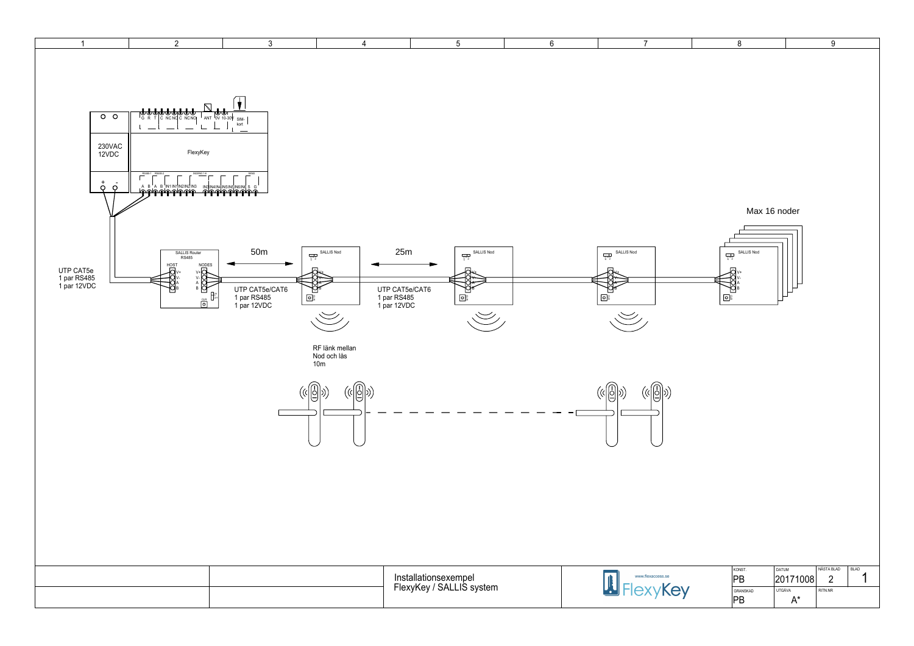